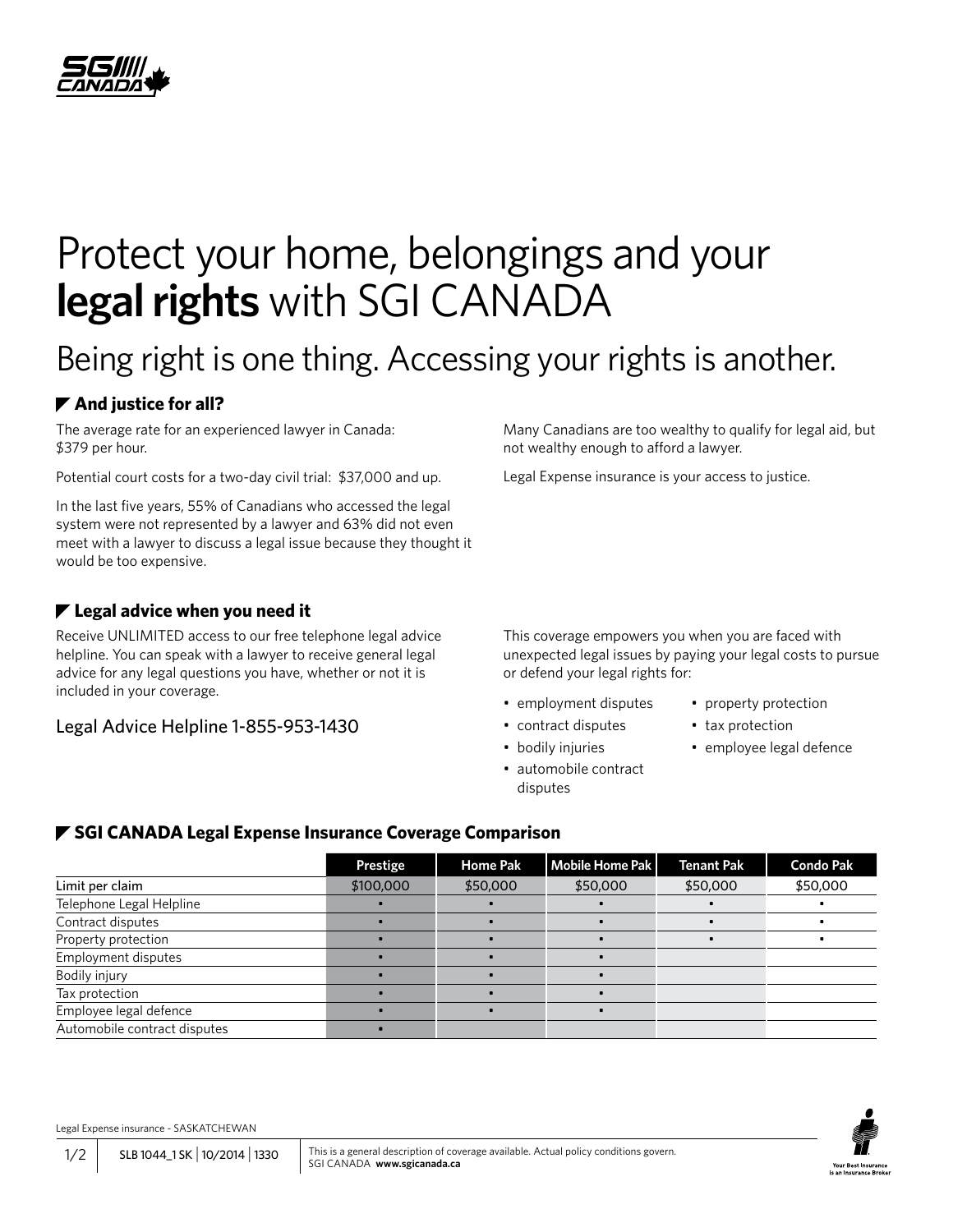

# Protect your home, belongings and your **legal rights** with SGI CANADA

## Being right is one thing. Accessing your rights is another.

### **▶ And justice for all?**

The average rate for an experienced lawyer in Canada: \$379 per hour.

Potential court costs for a two-day civil trial: \$37,000 and up.

In the last five years, 55% of Canadians who accessed the legal system were not represented by a lawyer and 63% did not even meet with a lawyer to discuss a legal issue because they thought it would be too expensive.

#### **Legal advice when you need it**

Receive UNLIMITED access to our free telephone legal advice helpline. You can speak with a lawyer to receive general legal advice for any legal questions you have, whether or not it is included in your coverage.

Legal Advice Helpline 1-855-953-1430

Many Canadians are too wealthy to qualify for legal aid, but not wealthy enough to afford a lawyer.

Legal Expense insurance is your access to justice.

This coverage empowers you when you are faced with unexpected legal issues by paying your legal costs to pursue or defend your legal rights for:

- employment disputes
- contract disputes
- bodily injuries
- automobile contract disputes
- property protection
- tax protection
- employee legal defence

#### *▼* **SGI CANADA Legal Expense Insurance Coverage Comparison**

|                              | Prestige  | <b>Home Pak</b> | <b>Mobile Home Pak</b> | <b>Tenant Pak</b> | <b>Condo Pak</b> |
|------------------------------|-----------|-----------------|------------------------|-------------------|------------------|
| Limit per claim              | \$100,000 | \$50,000        | \$50,000               | \$50,000          | \$50,000         |
| Telephone Legal Helpline     |           |                 |                        |                   |                  |
| Contract disputes            |           |                 |                        |                   |                  |
| Property protection          |           |                 |                        |                   |                  |
| Employment disputes          |           |                 |                        |                   |                  |
| Bodily injury                |           |                 |                        |                   |                  |
| Tax protection               |           |                 |                        |                   |                  |
| Employee legal defence       |           |                 |                        |                   |                  |
| Automobile contract disputes |           |                 |                        |                   |                  |